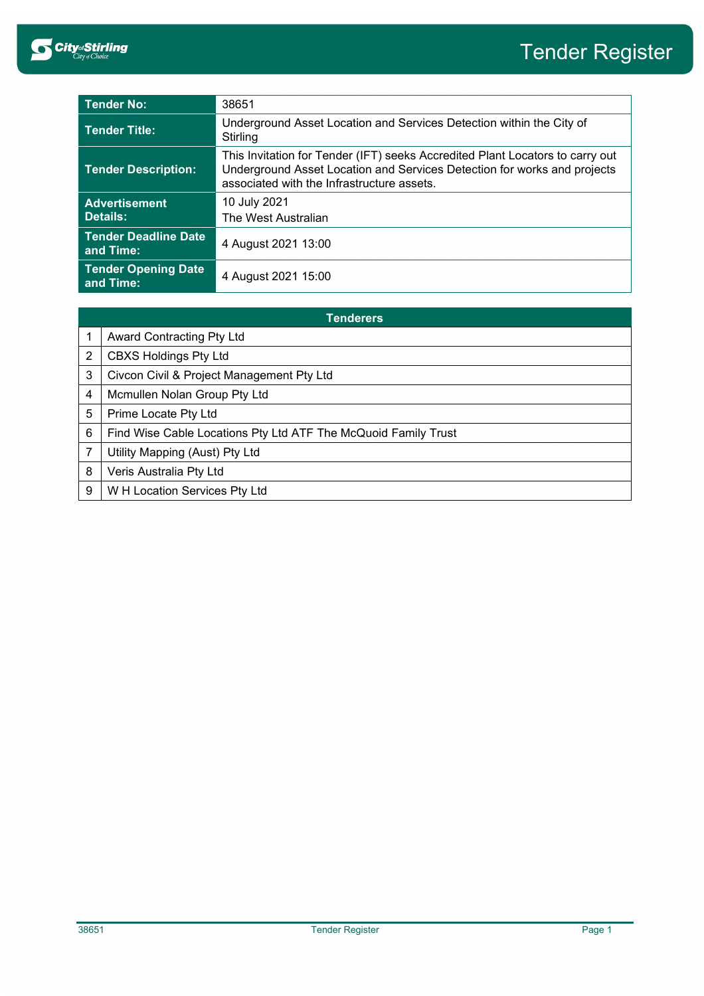

| <b>Tender No:</b>                        | 38651                                                                                                                                                                                                   |
|------------------------------------------|---------------------------------------------------------------------------------------------------------------------------------------------------------------------------------------------------------|
| <b>Tender Title:</b>                     | Underground Asset Location and Services Detection within the City of<br>Stirling                                                                                                                        |
| <b>Tender Description:</b>               | This Invitation for Tender (IFT) seeks Accredited Plant Locators to carry out<br>Underground Asset Location and Services Detection for works and projects<br>associated with the Infrastructure assets. |
| <b>Advertisement</b>                     | 10 July 2021                                                                                                                                                                                            |
| <b>Details:</b>                          | The West Australian                                                                                                                                                                                     |
| <b>Tender Deadline Date</b><br>and Time: | 4 August 2021 13:00                                                                                                                                                                                     |
| <b>Tender Opening Date</b><br>and Time:  | 4 August 2021 15:00                                                                                                                                                                                     |

| <b>Tenderers</b> |                                                                |  |  |
|------------------|----------------------------------------------------------------|--|--|
|                  | <b>Award Contracting Pty Ltd</b>                               |  |  |
| 2                | <b>CBXS Holdings Pty Ltd</b>                                   |  |  |
| 3                | Civcon Civil & Project Management Pty Ltd                      |  |  |
| 4                | Mcmullen Nolan Group Pty Ltd                                   |  |  |
| 5                | Prime Locate Pty Ltd                                           |  |  |
| 6                | Find Wise Cable Locations Pty Ltd ATF The McQuoid Family Trust |  |  |
|                  | Utility Mapping (Aust) Pty Ltd                                 |  |  |
| 8                | Veris Australia Pty Ltd                                        |  |  |
| 9                | W H Location Services Pty Ltd                                  |  |  |